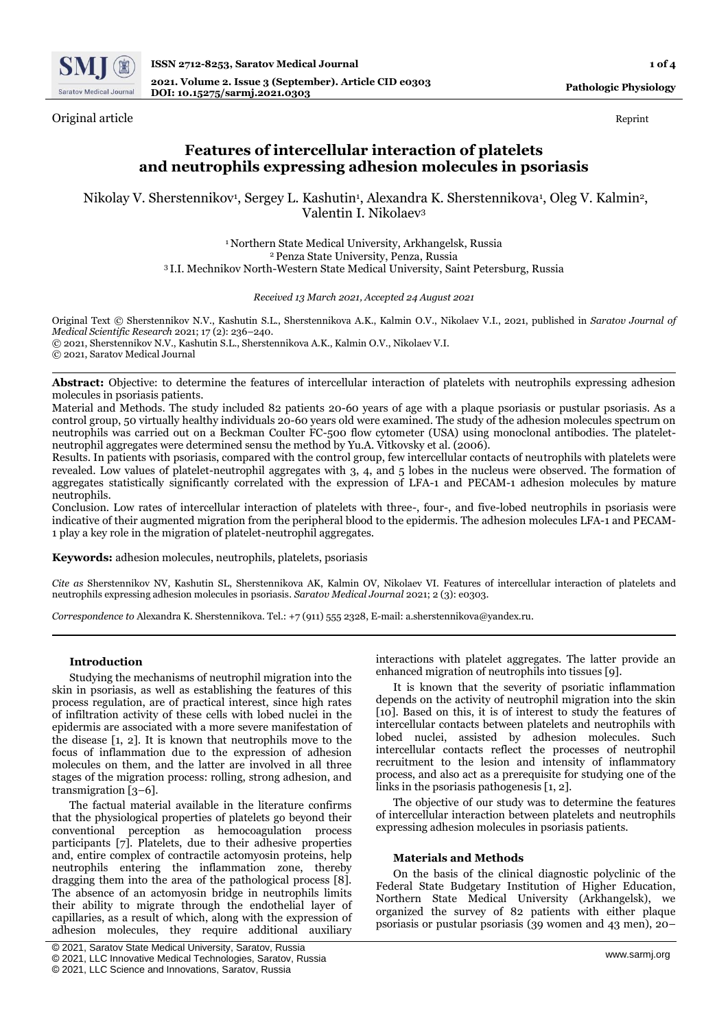

Original article Reprint

# **Features of intercellular interaction of platelets and neutrophils expressing adhesion molecules in psoriasis**

Nikolay V. Sherstennikov<sup>1</sup>, Sergey L. Kashutin<sup>1</sup>, Alexandra K. Sherstennikova<sup>1</sup>, Oleg V. Kalmin<sup>2</sup>, Valentin I. Nikolaev<sup>3</sup>

> <sup>1</sup>Northern State Medical University, Arkhangelsk, Russia <sup>2</sup>Penza State University, Penza, Russia <sup>3</sup>I.I. Mechnikov North-Western State Medical University, Saint Petersburg, Russia

#### *Received 13 March 2021, Accepted 24 August 2021*

Original Text © Sherstennikov N.V., Kashutin S.L., Sherstennikova A.K., Kalmin O.V., Nikolaev V.I., 2021, published in *Saratov Journal of Medical Scientific Research* 2021; 17 (2): 236–240. © 2021, Sherstennikov N.V., Kashutin S.L., Sherstennikova A.K., Kalmin O.V., Nikolaev V.I. © 2021, Saratov Medical Journal

**Abstract:** Objective: to determine the features of intercellular interaction of platelets with neutrophils expressing adhesion molecules in psoriasis patients.

Material and Methods. The study included 82 patients 20-60 years of age with a plaque psoriasis or pustular psoriasis. As a control group, 50 virtually healthy individuals 20-60 years old were examined. The study of the adhesion molecules spectrum on neutrophils was carried out on a Beckman Coulter FC-500 flow cytometer (USA) using monoclonal antibodies. The plateletneutrophil aggregates were determined sensu the method by Yu.A. Vitkovsky et al. (2006).

Results. In patients with psoriasis, compared with the control group, few intercellular contacts of neutrophils with platelets were revealed. Low values of platelet-neutrophil aggregates with 3, 4, and 5 lobes in the nucleus were observed. The formation of aggregates statistically significantly correlated with the expression of LFA-1 and PECAM-1 adhesion molecules by mature neutrophils.

Conclusion. Low rates of intercellular interaction of platelets with three-, four-, and five-lobed neutrophils in psoriasis were indicative of their augmented migration from the peripheral blood to the epidermis. The adhesion molecules LFA-1 and PECAM-1 play a key role in the migration of platelet-neutrophil aggregates.

**Keywords:** adhesion molecules, neutrophils, platelets, psoriasis

*Cite as* Sherstennikov NV, Kashutin SL, Sherstennikova AK, Kalmin OV, Nikolaev VI. Features of intercellular interaction of platelets and neutrophils expressing adhesion molecules in psoriasis. *Saratov Medical Journal* 2021; 2 (3): e0303.

*Correspondence to* Alexandra K. Sherstennikova. Tel.: +7 (911) 555 2328, E-mail: a.sherstennikova@yandex.ru.

#### **Introduction**

Studying the mechanisms of neutrophil migration into the skin in psoriasis, as well as establishing the features of this process regulation, are of practical interest, since high rates of infiltration activity of these cells with lobed nuclei in the epidermis are associated with a more severe manifestation of the disease [1, 2]. It is known that neutrophils move to the focus of inflammation due to the expression of adhesion molecules on them, and the latter are involved in all three stages of the migration process: rolling, strong adhesion, and transmigration [3–6].

The factual material available in the literature confirms that the physiological properties of platelets go beyond their conventional perception as hemocoagulation process participants [7]. Platelets, due to their adhesive properties and, entire complex of contractile actomyosin proteins, help neutrophils entering the inflammation zone, thereby dragging them into the area of the pathological process [8]. The absence of an actomyosin bridge in neutrophils limits their ability to migrate through the endothelial layer of capillaries, as a result of which, along with the expression of adhesion molecules, they require additional auxiliary

interactions with platelet aggregates. The latter provide an enhanced migration of neutrophils into tissues [9].

It is known that the severity of psoriatic inflammation depends on the activity of neutrophil migration into the skin [10]. Based on this, it is of interest to study the features of intercellular contacts between platelets and neutrophils with lobed nuclei, assisted by adhesion molecules. Such intercellular contacts reflect the processes of neutrophil recruitment to the lesion and intensity of inflammatory process, and also act as a prerequisite for studying one of the links in the psoriasis pathogenesis [1, 2].

The objective of our study was to determine the features of intercellular interaction between platelets and neutrophils expressing adhesion molecules in psoriasis patients.

#### **Materials and Methods**

On the basis of the clinical diagnostic polyclinic of the Federal State Budgetary Institution of Higher Education, Northern State Medical University (Arkhangelsk), we organized the survey of 82 patients with either plaque psoriasis or pustular psoriasis (39 women and 43 men), 20–

<sup>©</sup> 2021, Saratov State Medical University, Saratov, Russia

<sup>©</sup> 2021, LLC Innovative Medical Technologies, Saratov, Russia

<sup>©</sup> 2021, LLC Science and Innovations, Saratov, Russia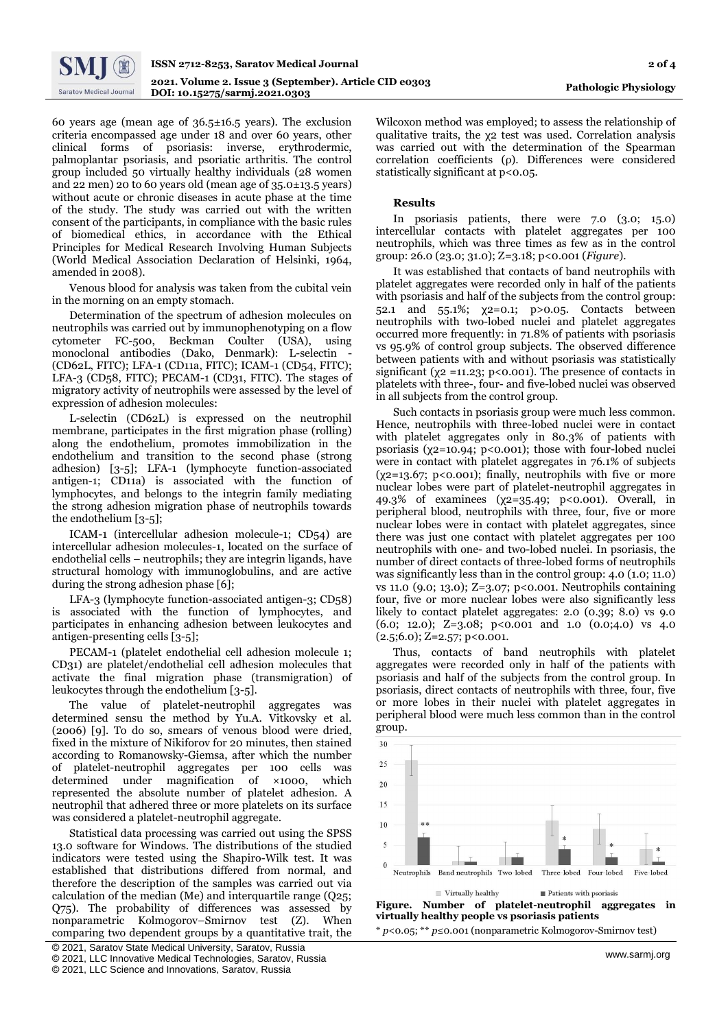

60 years age (mean age of 36.5±16.5 years). The exclusion criteria encompassed age under 18 and over 60 years, other clinical forms of psoriasis: inverse, erythrodermic, palmoplantar psoriasis, and psoriatic arthritis. The control group included 50 virtually healthy individuals (28 women and 22 men) 20 to 60 years old (mean age of 35.0±13.5 years) without acute or chronic diseases in acute phase at the time of the study. The study was carried out with the written consent of the participants, in compliance with the basic rules of biomedical ethics, in accordance with the Ethical Principles for Medical Research Involving Human Subjects (World Medical Association Declaration of Helsinki, 1964, amended in 2008).

Venous blood for analysis was taken from the cubital vein in the morning on an empty stomach.

Determination of the spectrum of adhesion molecules on neutrophils was carried out by immunophenotyping on a flow cytometer FC-500, Beckman Coulter (USA), using monoclonal antibodies (Dako, Denmark): L-selectin - (CD62L, FITC); LFA-1 (CD11a, FITC); ICAM-1 (CD54, FITC); LFA-3 (CD58, FITC); PECAM-1 (CD31, FITC). The stages of migratory activity of neutrophils were assessed by the level of expression of adhesion molecules:

L-selectin (CD62L) is expressed on the neutrophil membrane, participates in the first migration phase (rolling) along the endothelium, promotes immobilization in the endothelium and transition to the second phase (strong adhesion) [3-5]; LFA-1 (lymphocyte function-associated antigen-1; CD11a) is associated with the function of lymphocytes, and belongs to the integrin family mediating the strong adhesion migration phase of neutrophils towards the endothelium [3-5];

ICAM-1 (intercellular adhesion molecule-1; CD54) are intercellular adhesion molecules-1, located on the surface of endothelial cells – neutrophils; they are integrin ligands, have structural homology with immunoglobulins, and are active during the strong adhesion phase [6];

LFA-3 (lymphocyte function-associated antigen-3; CD58) is associated with the function of lymphocytes, and participates in enhancing adhesion between leukocytes and antigen-presenting cells [3-5];

PECAM-1 (platelet endothelial cell adhesion molecule 1; CD31) are platelet/endothelial cell adhesion molecules that activate the final migration phase (transmigration) of leukocytes through the endothelium [3-5].

The value of platelet-neutrophil aggregates was determined sensu the method by Yu.A. Vitkovsky et al. (2006) [9]. To do so, smears of venous blood were dried, fixed in the mixture of Nikiforov for 20 minutes, then stained according to Romanowsky-Giemsa, after which the number of platelet-neutrophil aggregates per 100 cells was determined under magnification of ×1000, which represented the absolute number of platelet adhesion. A neutrophil that adhered three or more platelets on its surface was considered a platelet-neutrophil aggregate.

Statistical data processing was carried out using the SPSS 13.0 software for Windows. The distributions of the studied indicators were tested using the Shapiro-Wilk test. It was established that distributions differed from normal, and therefore the description of the samples was carried out via calculation of the median (Me) and interquartile range (Q25; Q75). The probability of differences was assessed by nonparametric Kolmogorov–Smirnov test (Z). When comparing two dependent groups by a quantitative trait, the

Wilcoxon method was employed; to assess the relationship of qualitative traits, the χ2 test was used. Correlation analysis was carried out with the determination of the Spearman correlation coefficients (ρ). Differences were considered statistically significant at p<0.05.

#### **Results**

In psoriasis patients, there were 7.0 (3.0; 15.0) intercellular contacts with platelet aggregates per 100 neutrophils, which was three times as few as in the control group: 26.0 (23.0; 31.0); Z=3.18; p<0.001 (*Figure*).

It was established that contacts of band neutrophils with platelet aggregates were recorded only in half of the patients with psoriasis and half of the subjects from the control group: 52.1 and 55.1%; χ2=0.1; p>0.05. Contacts between neutrophils with two-lobed nuclei and platelet aggregates occurred more frequently: in 71.8% of patients with psoriasis vs 95.9% of control group subjects. The observed difference between patients with and without psoriasis was statistically significant ( $\chi$ 2 =11.23; p<0.001). The presence of contacts in platelets with three-, four- and five-lobed nuclei was observed in all subjects from the control group.

Such contacts in psoriasis group were much less common. Hence, neutrophils with three-lobed nuclei were in contact with platelet aggregates only in 80.3% of patients with psoriasis (χ2=10.94; p<0.001); those with four-lobed nuclei were in contact with platelet aggregates in 76.1% of subjects ( $\chi$ 2=13.67; p<0.001); finally, neutrophils with five or more nuclear lobes were part of platelet-neutrophil aggregates in 49.3% of examinees (χ2=35.49; p<0.001). Overall, in peripheral blood, neutrophils with three, four, five or more nuclear lobes were in contact with platelet aggregates, since there was just one contact with platelet aggregates per 100 neutrophils with one- and two-lobed nuclei. In psoriasis, the number of direct contacts of three-lobed forms of neutrophils was significantly less than in the control group: 4.0 (1.0; 11.0) vs 11.0 (9.0; 13.0); Z=3.07; p<0.001. Neutrophils containing four, five or more nuclear lobes were also significantly less likely to contact platelet aggregates: 2.0 (0.39; 8.0) vs 9.0 (6.0; 12.0); Z=3.08; p<0.001 and 1.0 (0.0;4.0) vs 4.0  $(2.5; 6.0);$  Z=2.57; p<0.001.

Thus, contacts of band neutrophils with platelet aggregates were recorded only in half of the patients with psoriasis and half of the subjects from the control group. In psoriasis, direct contacts of neutrophils with three, four, five or more lobes in their nuclei with platelet aggregates in peripheral blood were much less common than in the control group.



**Figure. Number of platelet-neutrophil aggregates in virtually healthy people vs psoriasis patients** \* *p*<0.05; \*\* *р*≤0.001 (nonparametric Kolmogorov-Smirnov test)

<sup>[</sup> © 2021, Saratov State Medical University, Saratov, Russia

<sup>©</sup> 2021, LLC Innovative Medical Technologies, Saratov, Russia

<sup>©</sup> 2021, LLC Science and Innovations, Saratov, Russia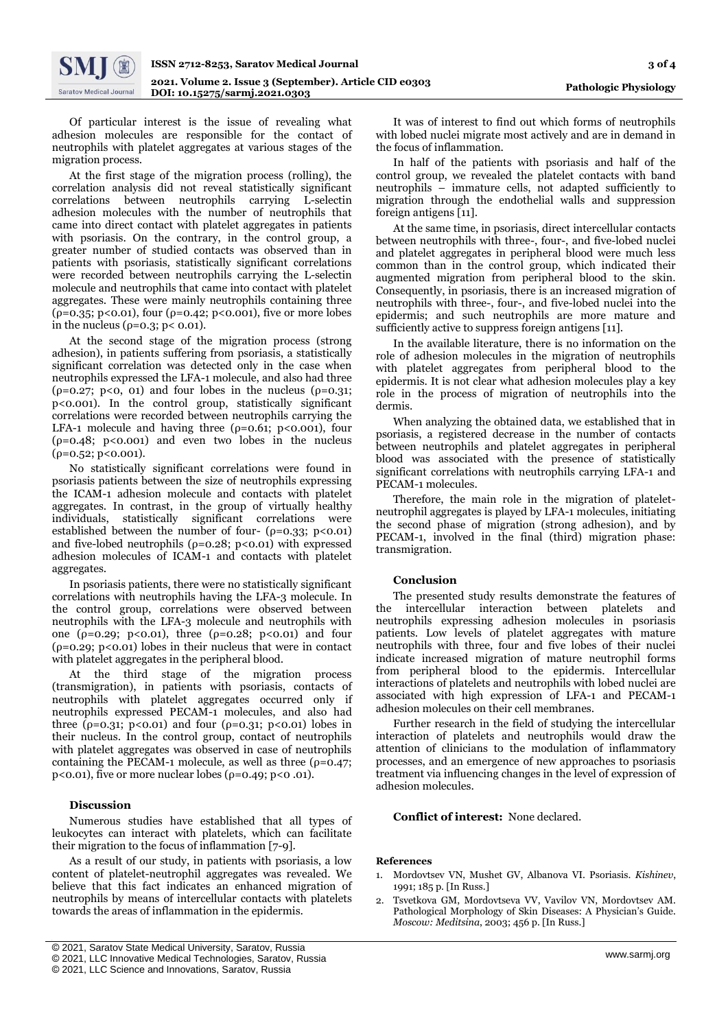Of particular interest is the issue of revealing what adhesion molecules are responsible for the contact of neutrophils with platelet aggregates at various stages of the migration process.

At the first stage of the migration process (rolling), the correlation analysis did not reveal statistically significant correlations between neutrophils carrying L-selectin adhesion molecules with the number of neutrophils that came into direct contact with platelet aggregates in patients with psoriasis. On the contrary, in the control group, a greater number of studied contacts was observed than in patients with psoriasis, statistically significant correlations were recorded between neutrophils carrying the L-selectin molecule and neutrophils that came into contact with platelet aggregates. These were mainly neutrophils containing three ( $p=0.35$ ; p<0.01), four ( $p=0.42$ ; p<0.001), five or more lobes in the nucleus ( $ρ = 0.3$ ;  $p < 0.01$ ).

At the second stage of the migration process (strong adhesion), in patients suffering from psoriasis, a statistically significant correlation was detected only in the case when neutrophils expressed the LFA-1 molecule, and also had three ( $\rho$ =0.27;  $p$ <0, 01) and four lobes in the nucleus ( $\rho$ =0.31; p<0.001). In the control group, statistically significant correlations were recorded between neutrophils carrying the LFA-1 molecule and having three  $(\rho = 0.61; \ p < 0.001)$ , four ( $p=0.48$ ;  $p<0.001$ ) and even two lobes in the nucleus (ρ=0.52; p<0.001).

No statistically significant correlations were found in psoriasis patients between the size of neutrophils expressing the ICAM-1 adhesion molecule and contacts with platelet aggregates. In contrast, in the group of virtually healthy individuals, statistically significant correlations were established between the number of four-  $(\rho=0.33; \ p<0.01)$ and five-lobed neutrophils ( $p=0.28$ ;  $p<0.01$ ) with expressed adhesion molecules of ICAM-1 and contacts with platelet aggregates.

In psoriasis patients, there were no statistically significant correlations with neutrophils having the LFA-3 molecule. In the control group, correlations were observed between neutrophils with the LFA-3 molecule and neutrophils with one ( $\rho$ =0.29; p<0.01), three ( $\rho$ =0.28; p<0.01) and four ( $p=0.29$ ;  $p<0.01$ ) lobes in their nucleus that were in contact with platelet aggregates in the peripheral blood.

At the third stage of the migration process (transmigration), in patients with psoriasis, contacts of neutrophils with platelet aggregates occurred only if neutrophils expressed PECAM-1 molecules, and also had three ( $p=0.31$ ;  $p<0.01$ ) and four ( $p=0.31$ ;  $p<0.01$ ) lobes in their nucleus. In the control group, contact of neutrophils with platelet aggregates was observed in case of neutrophils containing the PECAM-1 molecule, as well as three  $(\rho = 0.47)$ ; p<0.01), five or more nuclear lobes ( $\rho$ =0.49; p<0.01).

## **Discussion**

Numerous studies have established that all types of leukocytes can interact with platelets, which can facilitate their migration to the focus of inflammation [7-9].

As a result of our study, in patients with psoriasis, a low content of platelet-neutrophil aggregates was revealed. We believe that this fact indicates an enhanced migration of neutrophils by means of intercellular contacts with platelets towards the areas of inflammation in the epidermis.

It was of interest to find out which forms of neutrophils with lobed nuclei migrate most actively and are in demand in the focus of inflammation.

In half of the patients with psoriasis and half of the control group, we revealed the platelet contacts with band neutrophils – immature cells, not adapted sufficiently to migration through the endothelial walls and suppression foreign antigens [11].

At the same time, in psoriasis, direct intercellular contacts between neutrophils with three-, four-, and five-lobed nuclei and platelet aggregates in peripheral blood were much less common than in the control group, which indicated their augmented migration from peripheral blood to the skin. Consequently, in psoriasis, there is an increased migration of neutrophils with three-, four-, and five-lobed nuclei into the epidermis; and such neutrophils are more mature and sufficiently active to suppress foreign antigens [11].

In the available literature, there is no information on the role of adhesion molecules in the migration of neutrophils with platelet aggregates from peripheral blood to the epidermis. It is not clear what adhesion molecules play a key role in the process of migration of neutrophils into the dermis.

When analyzing the obtained data, we established that in psoriasis, a registered decrease in the number of contacts between neutrophils and platelet aggregates in peripheral blood was associated with the presence of statistically significant correlations with neutrophils carrying LFA-1 and PECAM-1 molecules.

Therefore, the main role in the migration of plateletneutrophil aggregates is played by LFA-1 molecules, initiating the second phase of migration (strong adhesion), and by PECAM-1, involved in the final (third) migration phase: transmigration.

## **Conclusion**

The presented study results demonstrate the features of the intercellular interaction between platelets and neutrophils expressing adhesion molecules in psoriasis patients. Low levels of platelet aggregates with mature neutrophils with three, four and five lobes of their nuclei indicate increased migration of mature neutrophil forms from peripheral blood to the epidermis. Intercellular interactions of platelets and neutrophils with lobed nuclei are associated with high expression of LFA-1 and PECAM-1 adhesion molecules on their cell membranes.

Further research in the field of studying the intercellular interaction of platelets and neutrophils would draw the attention of clinicians to the modulation of inflammatory processes, and an emergence of new approaches to psoriasis treatment via influencing changes in the level of expression of adhesion molecules.

#### **Conflict of interest:** None declared.

# **References**

- 1. Mordovtsev VN, Mushet GV, Albanova VI. Psoriasis. *Kishinev*, 1991; 185 p. [In Russ.]
- 2. Tsvetkova GM, Mordovtseva VV, Vavilov VN, Mordovtsev AM. Pathological Morphology of Skin Diseases: A Physician's Guide. *Мoscow: Meditsina*, 2003; 456 p. [In Russ.]

<sup>[</sup> © 2021, Saratov State Medical University, Saratov, Russia

<sup>©</sup> 2021, LLC Innovative Medical Technologies, Saratov, Russia

<sup>©</sup> 2021, LLC Science and Innovations, Saratov, Russia